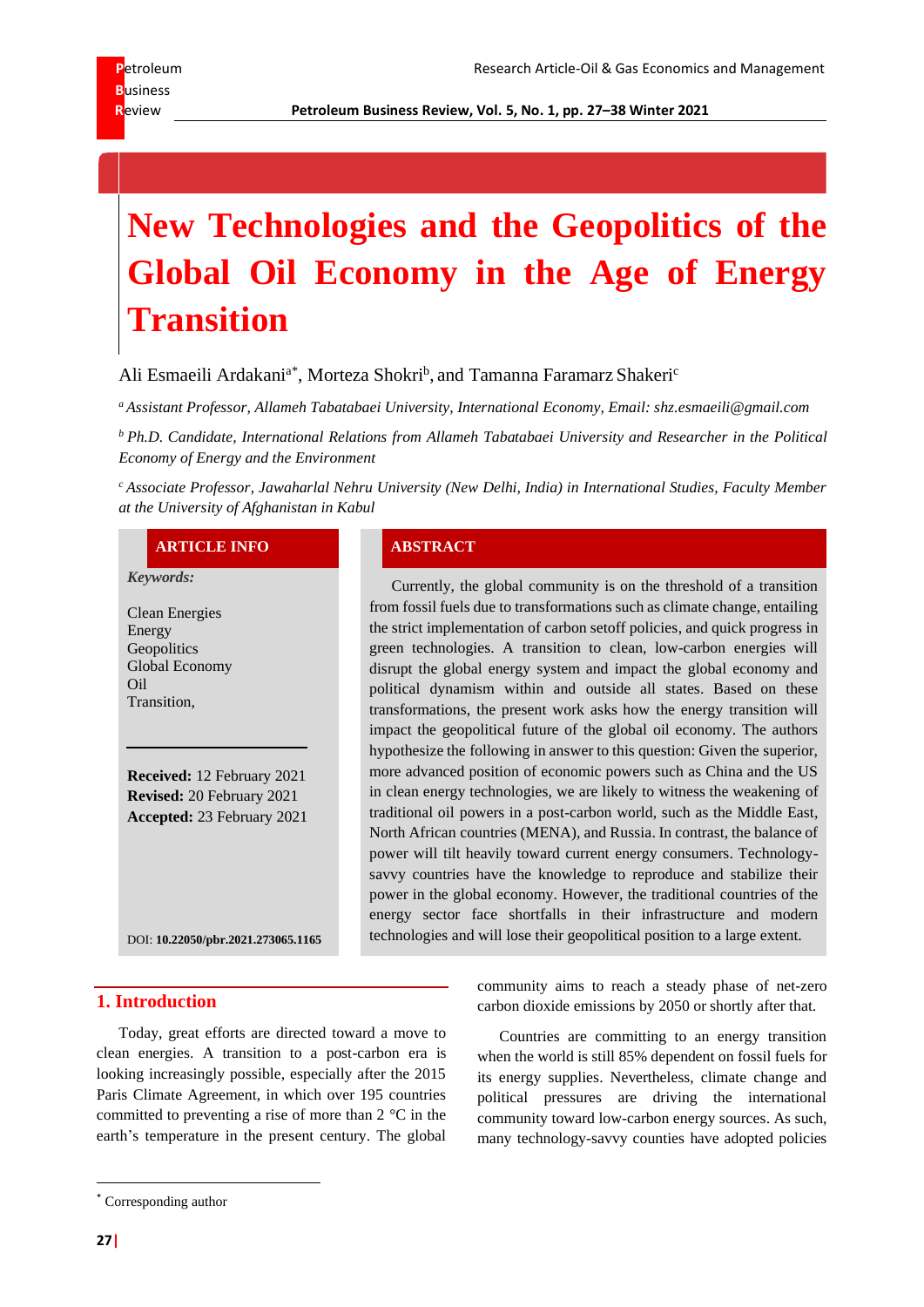**R**eview **Petroleum Business Review, Vol. 5, No. 1, pp. 27–38 Winter 2021**

# **New Technologies and the Geopolitics of the Global Oil Economy in the Age of Energy Transition**

Ali Esmaeili Ardakani<sup>a\*</sup>, Morteza Shokri<sup>b</sup>, and Tamanna Faramarz Shakeri<sup>c</sup>

*<sup>a</sup> Assistant Professor, Allameh Tabatabaei University, International Economy, Email: shz.esmaeili@gmail.com*

*<sup>b</sup> Ph.D. Candidate, International Relations from Allameh Tabatabaei University and Researcher in the Political Economy of Energy and the Environment*

*<sup>c</sup> Associate Professor*, *Jawaharlal Nehru University (New Delhi, India) in International Studies, Faculty Member at the University of Afghanistan in Kabul*

#### **ARTICLE INFO ABSTRACT**

#### *Keywords:*

Clean Energies Energy **Geopolitics** Global Economy Oil Transition,

**Received:** 12 February 2021 **Revised:** 20 February 2021 **Accepted:** 23 February 2021

DOI: **[10.22050/pbr.2021.273065.1165](https://dx.doi.org/10.22050/pbr.2021.273065.1165)**

#### **1. Introduction**

Today, great efforts are directed toward a move to clean energies. A transition to a post-carbon era is looking increasingly possible, especially after the 2015 Paris Climate Agreement, in which over 195 countries committed to preventing a rise of more than 2 °C in the earth's temperature in the present century. The global

Currently, the global community is on the threshold of a transition from fossil fuels due to transformations such as climate change, entailing the strict implementation of carbon setoff policies, and quick progress in green technologies. A transition to clean, low-carbon energies will disrupt the global energy system and impact the global economy and political dynamism within and outside all states. Based on these transformations, the present work asks how the energy transition will impact the geopolitical future of the global oil economy. The authors hypothesize the following in answer to this question: Given the superior, more advanced position of economic powers such as China and the US in clean energy technologies, we are likely to witness the weakening of traditional oil powers in a post-carbon world, such as the Middle East, North African countries (MENA), and Russia. In contrast, the balance of power will tilt heavily toward current energy consumers. Technologysavvy countries have the knowledge to reproduce and stabilize their power in the global economy. However, the traditional countries of the energy sector face shortfalls in their infrastructure and modern technologies and will lose their geopolitical position to a large extent.

> community aims to reach a steady phase of net-zero carbon dioxide emissions by 2050 or shortly after that.

> Countries are committing to an energy transition when the world is still 85% dependent on fossil fuels for its energy supplies. Nevertheless, climate change and political pressures are driving the international community toward low-carbon energy sources. As such, many technology-savvy counties have adopted policies

<sup>\*</sup> Corresponding author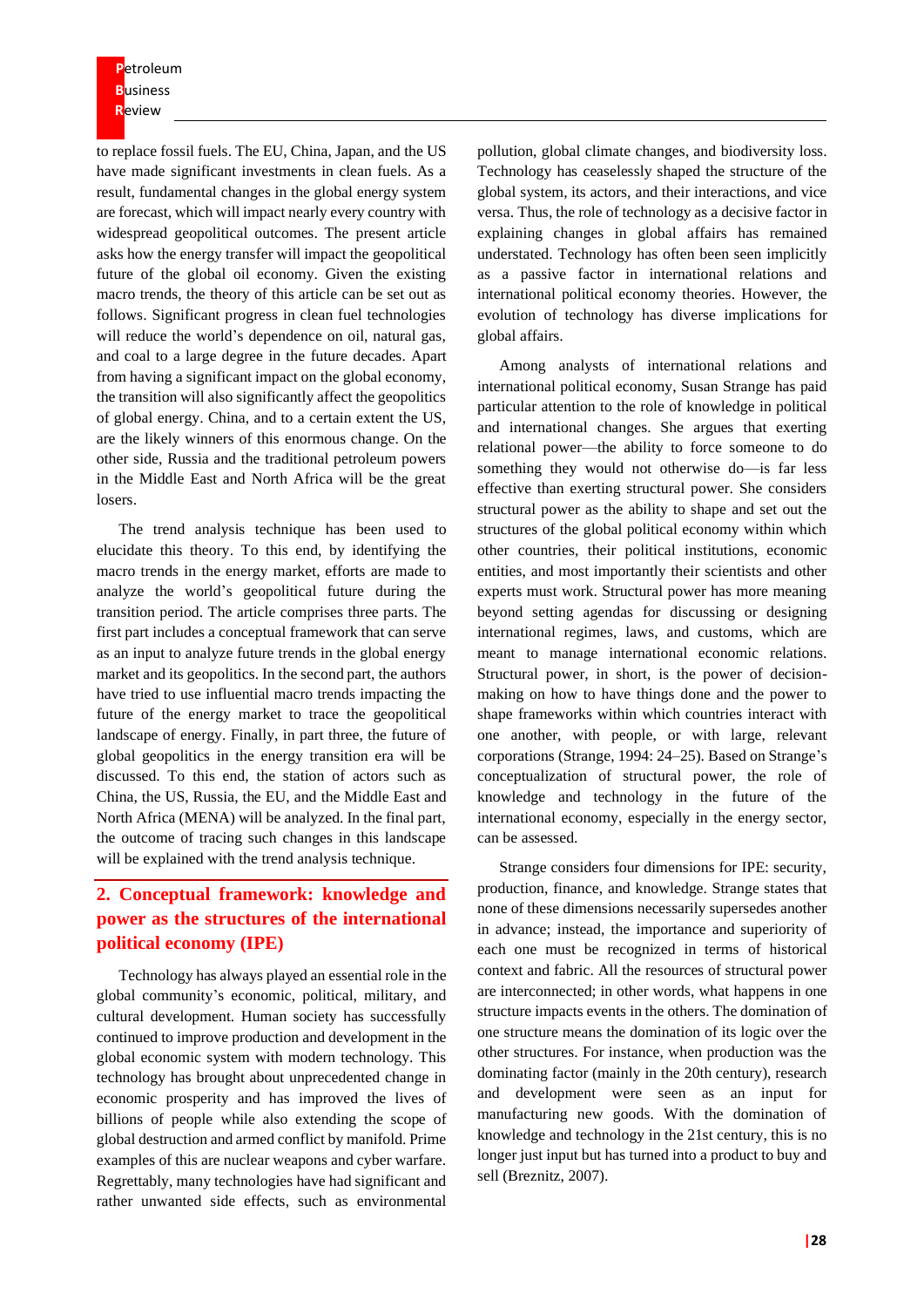**P**etroleum **B**usiness **R**eview

to replace fossil fuels. The EU, China, Japan, and the US have made significant investments in clean fuels. As a result, fundamental changes in the global energy system are forecast, which will impact nearly every country with widespread geopolitical outcomes. The present article asks how the energy transfer will impact the geopolitical future of the global oil economy. Given the existing macro trends, the theory of this article can be set out as follows. Significant progress in clean fuel technologies will reduce the world's dependence on oil, natural gas, and coal to a large degree in the future decades. Apart from having a significant impact on the global economy, the transition will also significantly affect the geopolitics of global energy. China, and to a certain extent the US, are the likely winners of this enormous change. On the other side, Russia and the traditional petroleum powers in the Middle East and North Africa will be the great losers.

The trend analysis technique has been used to elucidate this theory. To this end, by identifying the macro trends in the energy market, efforts are made to analyze the world's geopolitical future during the transition period. The article comprises three parts. The first part includes a conceptual framework that can serve as an input to analyze future trends in the global energy market and its geopolitics. In the second part, the authors have tried to use influential macro trends impacting the future of the energy market to trace the geopolitical landscape of energy. Finally, in part three, the future of global geopolitics in the energy transition era will be discussed. To this end, the station of actors such as China, the US, Russia, the EU, and the Middle East and North Africa (MENA) will be analyzed. In the final part, the outcome of tracing such changes in this landscape will be explained with the trend analysis technique.

# **2. Conceptual framework: knowledge and power as the structures of the international political economy (IPE)**

Technology has always played an essential role in the global community's economic, political, military, and cultural development. Human society has successfully continued to improve production and development in the global economic system with modern technology. This technology has brought about unprecedented change in economic prosperity and has improved the lives of billions of people while also extending the scope of global destruction and armed conflict by manifold. Prime examples of this are nuclear weapons and cyber warfare. Regrettably, many technologies have had significant and rather unwanted side effects, such as environmental

pollution, global climate changes, and biodiversity loss. Technology has ceaselessly shaped the structure of the global system, its actors, and their interactions, and vice versa. Thus, the role of technology as a decisive factor in explaining changes in global affairs has remained understated. Technology has often been seen implicitly as a passive factor in international relations and international political economy theories. However, the evolution of technology has diverse implications for global affairs.

Among analysts of international relations and international political economy, Susan Strange has paid particular attention to the role of knowledge in political and international changes. She argues that exerting relational power—the ability to force someone to do something they would not otherwise do—is far less effective than exerting structural power. She considers structural power as the ability to shape and set out the structures of the global political economy within which other countries, their political institutions, economic entities, and most importantly their scientists and other experts must work. Structural power has more meaning beyond setting agendas for discussing or designing international regimes, laws, and customs, which are meant to manage international economic relations. Structural power, in short, is the power of decisionmaking on how to have things done and the power to shape frameworks within which countries interact with one another, with people, or with large, relevant corporations (Strange, 1994: 24–25). Based on Strange's conceptualization of structural power, the role of knowledge and technology in the future of the international economy, especially in the energy sector, can be assessed.

Strange considers four dimensions for IPE: security, production, finance, and knowledge. Strange states that none of these dimensions necessarily supersedes another in advance; instead, the importance and superiority of each one must be recognized in terms of historical context and fabric. All the resources of structural power are interconnected; in other words, what happens in one structure impacts events in the others. The domination of one structure means the domination of its logic over the other structures. For instance, when production was the dominating factor (mainly in the 20th century), research and development were seen as an input for manufacturing new goods. With the domination of knowledge and technology in the 21st century, this is no longer just input but has turned into a product to buy and sell (Breznitz, 2007).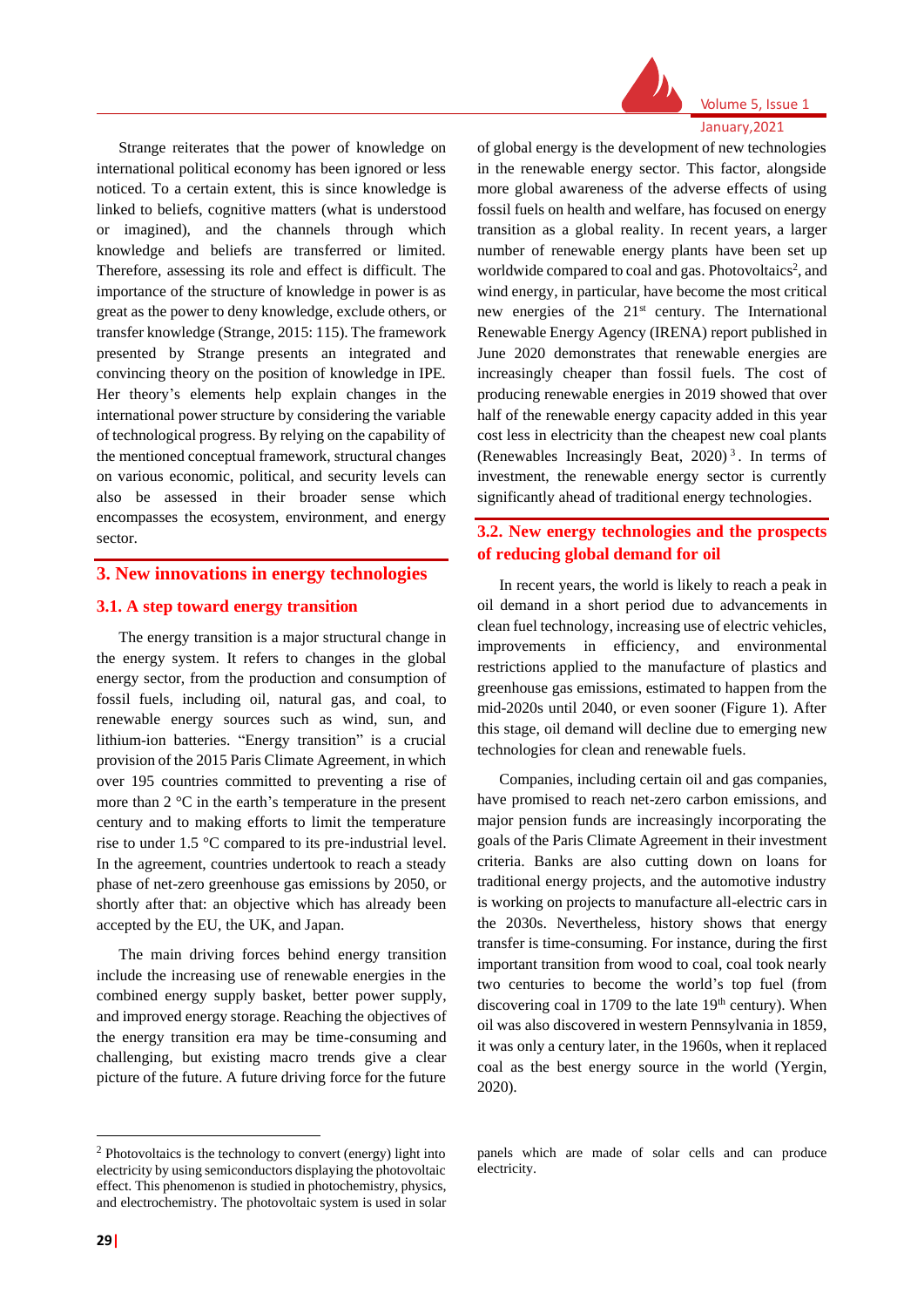

Volume 5, Issue 1 January,2021

Strange reiterates that the power of knowledge on international political economy has been ignored or less noticed. To a certain extent, this is since knowledge is linked to beliefs, cognitive matters (what is understood or imagined), and the channels through which knowledge and beliefs are transferred or limited. Therefore, assessing its role and effect is difficult. The importance of the structure of knowledge in power is as great as the power to deny knowledge, exclude others, or transfer knowledge (Strange, 2015: 115). The framework presented by Strange presents an integrated and convincing theory on the position of knowledge in IPE. Her theory's elements help explain changes in the international power structure by considering the variable of technological progress. By relying on the capability of the mentioned conceptual framework, structural changes on various economic, political, and security levels can also be assessed in their broader sense which encompasses the ecosystem, environment, and energy sector.

#### **3. New innovations in energy technologies**

#### **3.1. A step toward energy transition**

The energy transition is a major structural change in the energy system. It refers to changes in the global energy sector, from the production and consumption of fossil fuels, including oil, natural gas, and coal, to renewable energy sources such as wind, sun, and lithium-ion batteries. "Energy transition" is a crucial provision of the 2015 Paris Climate Agreement, in which over 195 countries committed to preventing a rise of more than 2 °C in the earth's temperature in the present century and to making efforts to limit the temperature rise to under 1.5 °C compared to its pre-industrial level. In the agreement, countries undertook to reach a steady phase of net-zero greenhouse gas emissions by 2050, or shortly after that: an objective which has already been accepted by the EU, the UK, and Japan.

The main driving forces behind energy transition include the increasing use of renewable energies in the combined energy supply basket, better power supply, and improved energy storage. Reaching the objectives of the energy transition era may be time-consuming and challenging, but existing macro trends give a clear picture of the future. A future driving force for the future

of global energy is the development of new technologies in the renewable energy sector. This factor, alongside more global awareness of the adverse effects of using fossil fuels on health and welfare, has focused on energy transition as a global reality. In recent years, a larger number of renewable energy plants have been set up worldwide compared to coal and gas. Photovoltaics<sup>2</sup>, and wind energy, in particular, have become the most critical new energies of the 21<sup>st</sup> century. The International Renewable Energy Agency (IRENA) report published in June 2020 demonstrates that renewable energies are increasingly cheaper than fossil fuels. The cost of producing renewable energies in 2019 showed that over half of the renewable energy capacity added in this year cost less in electricity than the cheapest new coal plants (Renewables Increasingly Beat,  $2020$ )<sup>3</sup>. In terms of investment, the renewable energy sector is currently significantly ahead of traditional energy technologies.

# **3.2. New energy technologies and the prospects of reducing global demand for oil**

In recent years, the world is likely to reach a peak in oil demand in a short period due to advancements in clean fuel technology, increasing use of electric vehicles, improvements in efficiency, and environmental restrictions applied to the manufacture of plastics and greenhouse gas emissions, estimated to happen from the mid-2020s until 2040, or even sooner (Figure 1). After this stage, oil demand will decline due to emerging new technologies for clean and renewable fuels.

Companies, including certain oil and gas companies, have promised to reach net-zero carbon emissions, and major pension funds are increasingly incorporating the goals of the Paris Climate Agreement in their investment criteria. Banks are also cutting down on loans for traditional energy projects, and the automotive industry is working on projects to manufacture all-electric cars in the 2030s. Nevertheless, history shows that energy transfer is time-consuming. For instance, during the first important transition from wood to coal, coal took nearly two centuries to become the world's top fuel (from discovering coal in 1709 to the late  $19<sup>th</sup>$  century). When oil was also discovered in western Pennsylvania in 1859, it was only a century later, in the 1960s, when it replaced coal as the best energy source in the world (Yergin, 2020).

<sup>2</sup> Photovoltaics is the technology to convert (energy) light into electricity by using semiconductors displaying the photovoltaic effect. This phenomenon is studied in photochemistry, physics, and electrochemistry. The photovoltaic system is used in solar

panels which are made of solar cells and can produce electricity.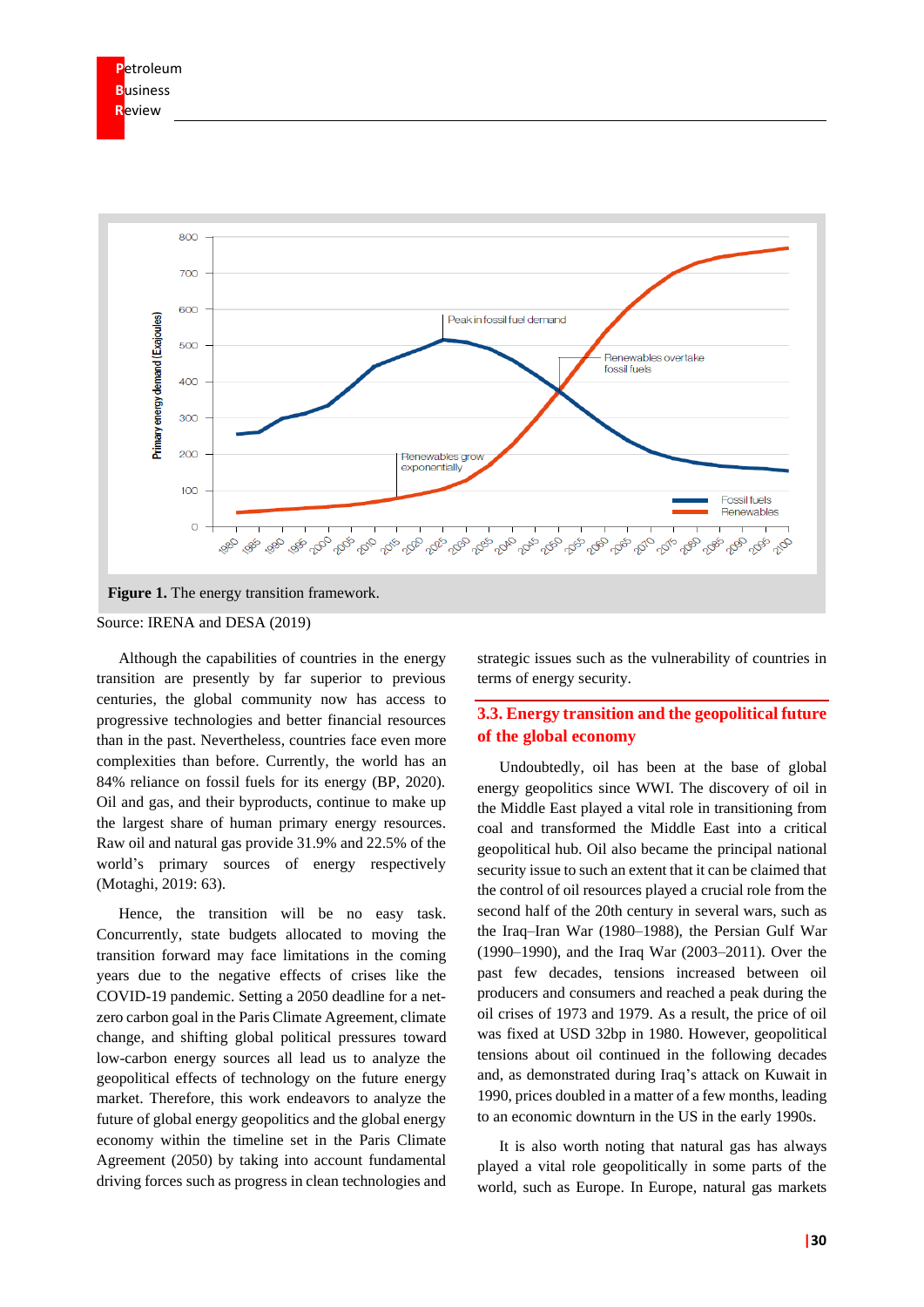



Although the capabilities of countries in the energy transition are presently by far superior to previous centuries, the global community now has access to progressive technologies and better financial resources than in the past. Nevertheless, countries face even more complexities than before. Currently, the world has an 84% reliance on fossil fuels for its energy (BP, 2020). Oil and gas, and their byproducts, continue to make up the largest share of human primary energy resources. Raw oil and natural gas provide 31.9% and 22.5% of the world's primary sources of energy respectively (Motaghi, 2019: 63).

Hence, the transition will be no easy task. Concurrently, state budgets allocated to moving the transition forward may face limitations in the coming years due to the negative effects of crises like the COVID-19 pandemic. Setting a 2050 deadline for a netzero carbon goal in the Paris Climate Agreement, climate change, and shifting global political pressures toward low-carbon energy sources all lead us to analyze the geopolitical effects of technology on the future energy market. Therefore, this work endeavors to analyze the future of global energy geopolitics and the global energy economy within the timeline set in the Paris Climate Agreement (2050) by taking into account fundamental driving forces such as progress in clean technologies and strategic issues such as the vulnerability of countries in terms of energy security.

# **3.3. Energy transition and the geopolitical future of the global economy**

Undoubtedly, oil has been at the base of global energy geopolitics since WWI. The discovery of oil in the Middle East played a vital role in transitioning from coal and transformed the Middle East into a critical geopolitical hub. Oil also became the principal national security issue to such an extent that it can be claimed that the control of oil resources played a crucial role from the second half of the 20th century in several wars, such as the Iraq–Iran War (1980–1988), the Persian Gulf War (1990–1990), and the Iraq War (2003–2011). Over the past few decades, tensions increased between oil producers and consumers and reached a peak during the oil crises of 1973 and 1979. As a result, the price of oil was fixed at USD 32bp in 1980. However, geopolitical tensions about oil continued in the following decades and, as demonstrated during Iraq's attack on Kuwait in 1990, prices doubled in a matter of a few months, leading to an economic downturn in the US in the early 1990s.

It is also worth noting that natural gas has always played a vital role geopolitically in some parts of the world, such as Europe. In Europe, natural gas markets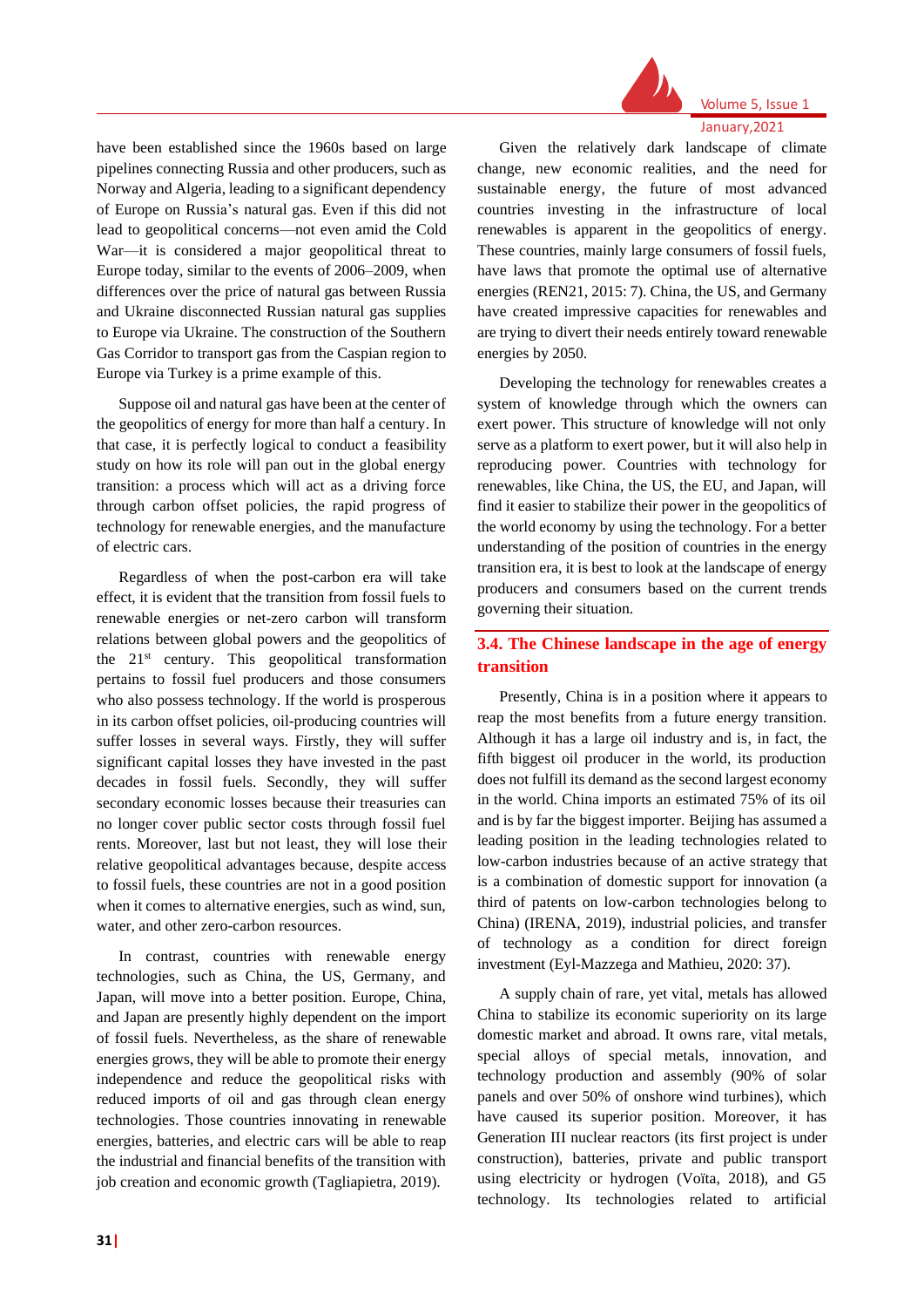

# Volume 5, Issue 1

January,2021

have been established since the 1960s based on large pipelines connecting Russia and other producers, such as Norway and Algeria, leading to a significant dependency of Europe on Russia's natural gas. Even if this did not lead to geopolitical concerns—not even amid the Cold War—it is considered a major geopolitical threat to Europe today, similar to the events of 2006–2009, when differences over the price of natural gas between Russia and Ukraine disconnected Russian natural gas supplies to Europe via Ukraine. The construction of the Southern Gas Corridor to transport gas from the Caspian region to Europe via Turkey is a prime example of this.

Suppose oil and natural gas have been at the center of the geopolitics of energy for more than half a century. In that case, it is perfectly logical to conduct a feasibility study on how its role will pan out in the global energy transition: a process which will act as a driving force through carbon offset policies, the rapid progress of technology for renewable energies, and the manufacture of electric cars.

Regardless of when the post-carbon era will take effect, it is evident that the transition from fossil fuels to renewable energies or net-zero carbon will transform relations between global powers and the geopolitics of the  $21<sup>st</sup>$  century. This geopolitical transformation pertains to fossil fuel producers and those consumers who also possess technology. If the world is prosperous in its carbon offset policies, oil-producing countries will suffer losses in several ways. Firstly, they will suffer significant capital losses they have invested in the past decades in fossil fuels. Secondly, they will suffer secondary economic losses because their treasuries can no longer cover public sector costs through fossil fuel rents. Moreover, last but not least, they will lose their relative geopolitical advantages because, despite access to fossil fuels, these countries are not in a good position when it comes to alternative energies, such as wind, sun, water, and other zero-carbon resources.

In contrast, countries with renewable energy technologies, such as China, the US, Germany, and Japan, will move into a better position. Europe, China, and Japan are presently highly dependent on the import of fossil fuels. Nevertheless, as the share of renewable energies grows, they will be able to promote their energy independence and reduce the geopolitical risks with reduced imports of oil and gas through clean energy technologies. Those countries innovating in renewable energies, batteries, and electric cars will be able to reap the industrial and financial benefits of the transition with job creation and economic growth (Tagliapietra, 2019).

Given the relatively dark landscape of climate change, new economic realities, and the need for sustainable energy, the future of most advanced countries investing in the infrastructure of local renewables is apparent in the geopolitics of energy. These countries, mainly large consumers of fossil fuels, have laws that promote the optimal use of alternative energies (REN21, 2015: 7). China, the US, and Germany have created impressive capacities for renewables and are trying to divert their needs entirely toward renewable energies by 2050.

Developing the technology for renewables creates a system of knowledge through which the owners can exert power. This structure of knowledge will not only serve as a platform to exert power, but it will also help in reproducing power. Countries with technology for renewables, like China, the US, the EU, and Japan, will find it easier to stabilize their power in the geopolitics of the world economy by using the technology. For a better understanding of the position of countries in the energy transition era, it is best to look at the landscape of energy producers and consumers based on the current trends governing their situation.

# **3.4. The Chinese landscape in the age of energy transition**

Presently, China is in a position where it appears to reap the most benefits from a future energy transition. Although it has a large oil industry and is, in fact, the fifth biggest oil producer in the world, its production does not fulfill its demand as the second largest economy in the world. China imports an estimated 75% of its oil and is by far the biggest importer. Beijing has assumed a leading position in the leading technologies related to low-carbon industries because of an active strategy that is a combination of domestic support for innovation (a third of patents on low-carbon technologies belong to China) (IRENA, 2019), industrial policies, and transfer of technology as a condition for direct foreign investment (Eyl-Mazzega and Mathieu, 2020: 37).

A supply chain of rare, yet vital, metals has allowed China to stabilize its economic superiority on its large domestic market and abroad. It owns rare, vital metals, special alloys of special metals, innovation, and technology production and assembly (90% of solar panels and over 50% of onshore wind turbines), which have caused its superior position. Moreover, it has Generation III nuclear reactors (its first project is under construction), batteries, private and public transport using electricity or hydrogen (Voïta, 2018), and G5 technology. Its technologies related to artificial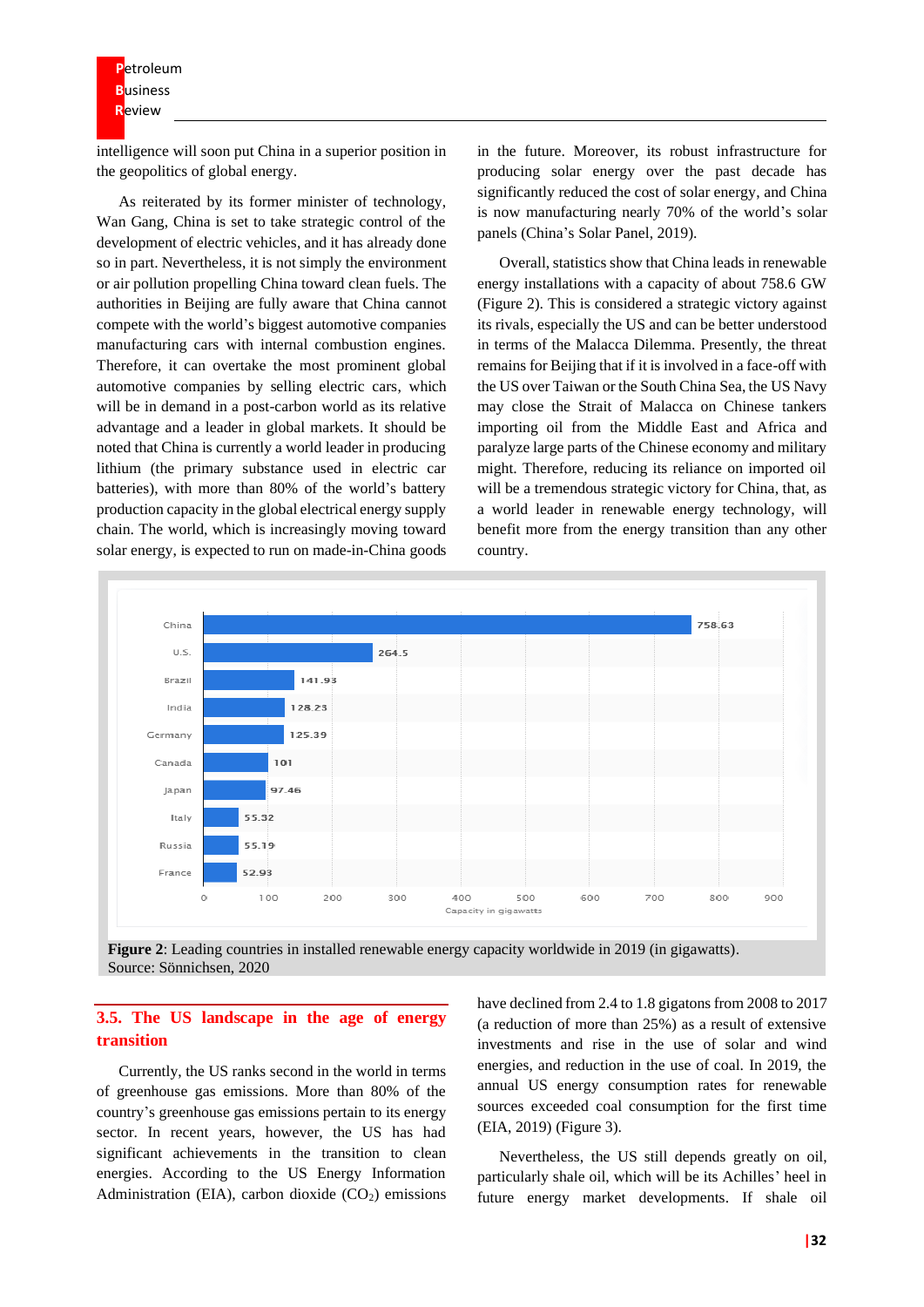intelligence will soon put China in a superior position in the geopolitics of global energy.

As reiterated by its former minister of technology, Wan Gang, China is set to take strategic control of the development of electric vehicles, and it has already done so in part. Nevertheless, it is not simply the environment or air pollution propelling China toward clean fuels. The authorities in Beijing are fully aware that China cannot compete with the world's biggest automotive companies manufacturing cars with internal combustion engines. Therefore, it can overtake the most prominent global automotive companies by selling electric cars, which will be in demand in a post-carbon world as its relative advantage and a leader in global markets. It should be noted that China is currently a world leader in producing lithium (the primary substance used in electric car batteries), with more than 80% of the world's battery production capacity in the global electrical energy supply chain. The world, which is increasingly moving toward solar energy, is expected to run on made-in-China goods

in the future. Moreover, its robust infrastructure for producing solar energy over the past decade has significantly reduced the cost of solar energy, and China is now manufacturing nearly 70% of the world's solar panels (China's Solar Panel, 2019).

Overall, statistics show that China leads in renewable energy installations with a capacity of about 758.6 GW (Figure 2). This is considered a strategic victory against its rivals, especially the US and can be better understood in terms of the Malacca Dilemma. Presently, the threat remains for Beijing that if it is involved in a face-off with the US over Taiwan or the South China Sea, the US Navy may close the Strait of Malacca on Chinese tankers importing oil from the Middle East and Africa and paralyze large parts of the Chinese economy and military might. Therefore, reducing its reliance on imported oil will be a tremendous strategic victory for China, that, as a world leader in renewable energy technology, will benefit more from the energy transition than any other country.



**Figure 2**: Leading countries in installed renewable energy capacity worldwide in 2019 (in gigawatts). Source: Sönnichsen, 2020

## **3.5. The US landscape in the age of energy transition**

Currently, the US ranks second in the world in terms of greenhouse gas emissions. More than 80% of the country's greenhouse gas emissions pertain to its energy sector. In recent years, however, the US has had significant achievements in the transition to clean energies. According to the US Energy Information Administration (EIA), carbon dioxide  $(CO<sub>2</sub>)$  emissions have declined from 2.4 to 1.8 gigatons from 2008 to 2017 (a reduction of more than 25%) as a result of extensive investments and rise in the use of solar and wind energies, and reduction in the use of coal. In 2019, the annual US energy consumption rates for renewable sources exceeded coal consumption for the first time (EIA, 2019) (Figure 3).

Nevertheless, the US still depends greatly on oil, particularly shale oil, which will be its Achilles' heel in future energy market developments. If shale oil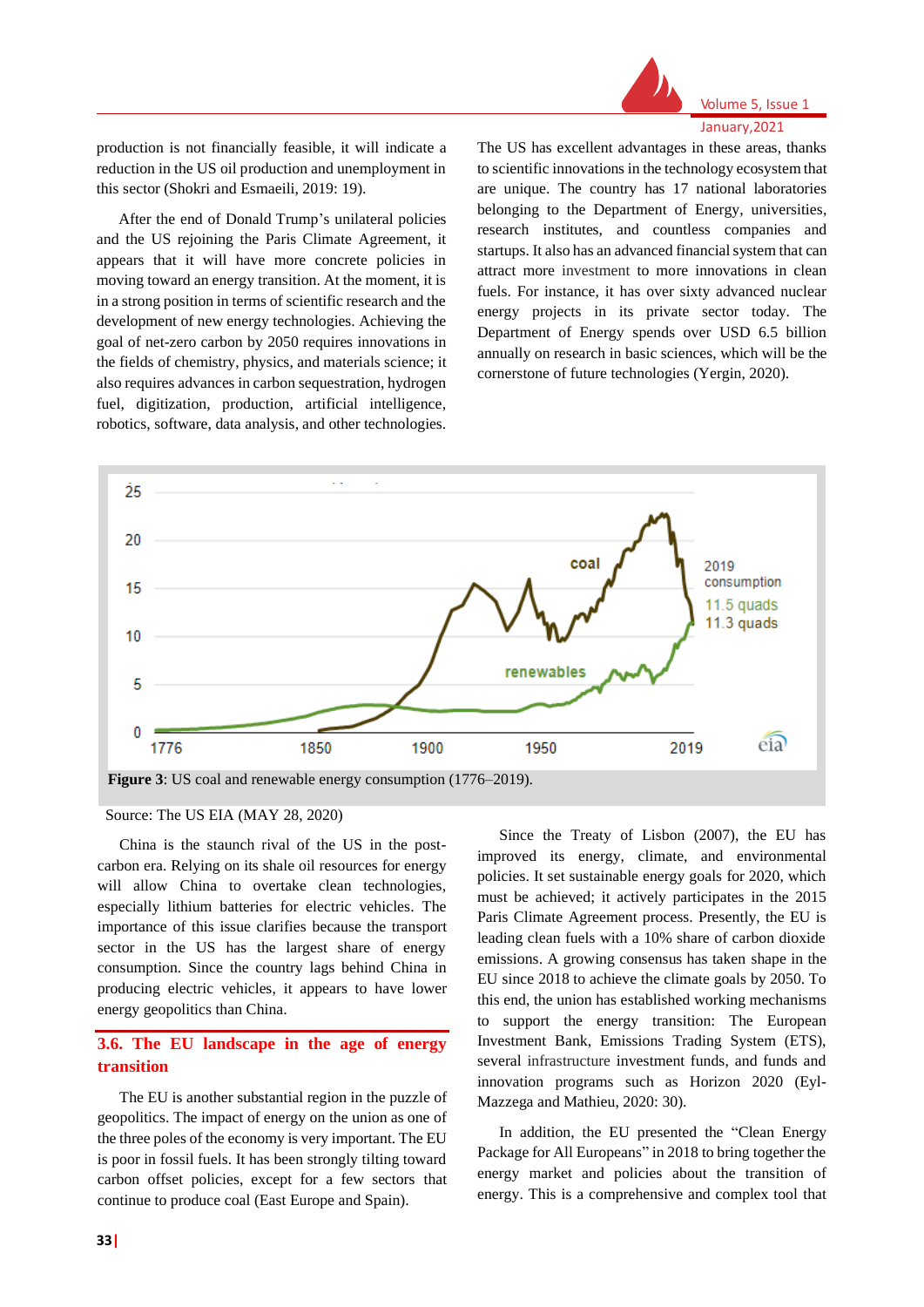

## Volume 5, Issue 1 January,2021

production is not financially feasible, it will indicate a reduction in the US oil production and unemployment in this sector (Shokri and Esmaeili, 2019: 19).

After the end of Donald Trump's unilateral policies and the US rejoining the Paris Climate Agreement, it appears that it will have more concrete policies in moving toward an energy transition. At the moment, it is in a strong position in terms of scientific research and the development of new energy technologies. Achieving the goal of net-zero carbon by 2050 requires innovations in the fields of chemistry, physics, and materials science; it also requires advances in carbon sequestration, hydrogen fuel, digitization, production, artificial intelligence, robotics, software, data analysis, and other technologies.

The US has excellent advantages in these areas, thanks to scientific innovations in the technology ecosystem that are unique. The country has 17 national laboratories belonging to the Department of Energy, universities, research institutes, and countless companies and startups. It also has an advanced financial system that can attract more investment to more innovations in clean fuels. For instance, it has over sixty advanced nuclear energy projects in its private sector today. The Department of Energy spends over USD 6.5 billion annually on research in basic sciences, which will be the cornerstone of future technologies (Yergin, 2020).



Source: The US EIA (MAY 28, 2020)

China is the staunch rival of the US in the postcarbon era. Relying on its shale oil resources for energy will allow China to overtake clean technologies, especially lithium batteries for electric vehicles. The importance of this issue clarifies because the transport sector in the US has the largest share of energy consumption. Since the country lags behind China in producing electric vehicles, it appears to have lower energy geopolitics than China.

# **3.6. The EU landscape in the age of energy transition**

The EU is another substantial region in the puzzle of geopolitics. The impact of energy on the union as one of the three poles of the economy is very important. The EU is poor in fossil fuels. It has been strongly tilting toward carbon offset policies, except for a few sectors that continue to produce coal (East Europe and Spain).

Since the Treaty of Lisbon (2007), the EU has improved its energy, climate, and environmental policies. It set sustainable energy goals for 2020, which must be achieved; it actively participates in the 2015 Paris Climate Agreement process. Presently, the EU is leading clean fuels with a 10% share of carbon dioxide emissions. A growing consensus has taken shape in the EU since 2018 to achieve the climate goals by 2050. To this end, the union has established working mechanisms to support the energy transition: The European Investment Bank, Emissions Trading System (ETS), several infrastructure investment funds, and funds and innovation programs such as Horizon 2020 (Eyl-Mazzega and Mathieu, 2020: 30).

In addition, the EU presented the "Clean Energy Package for All Europeans" in 2018 to bring together the energy market and policies about the transition of energy. This is a comprehensive and complex tool that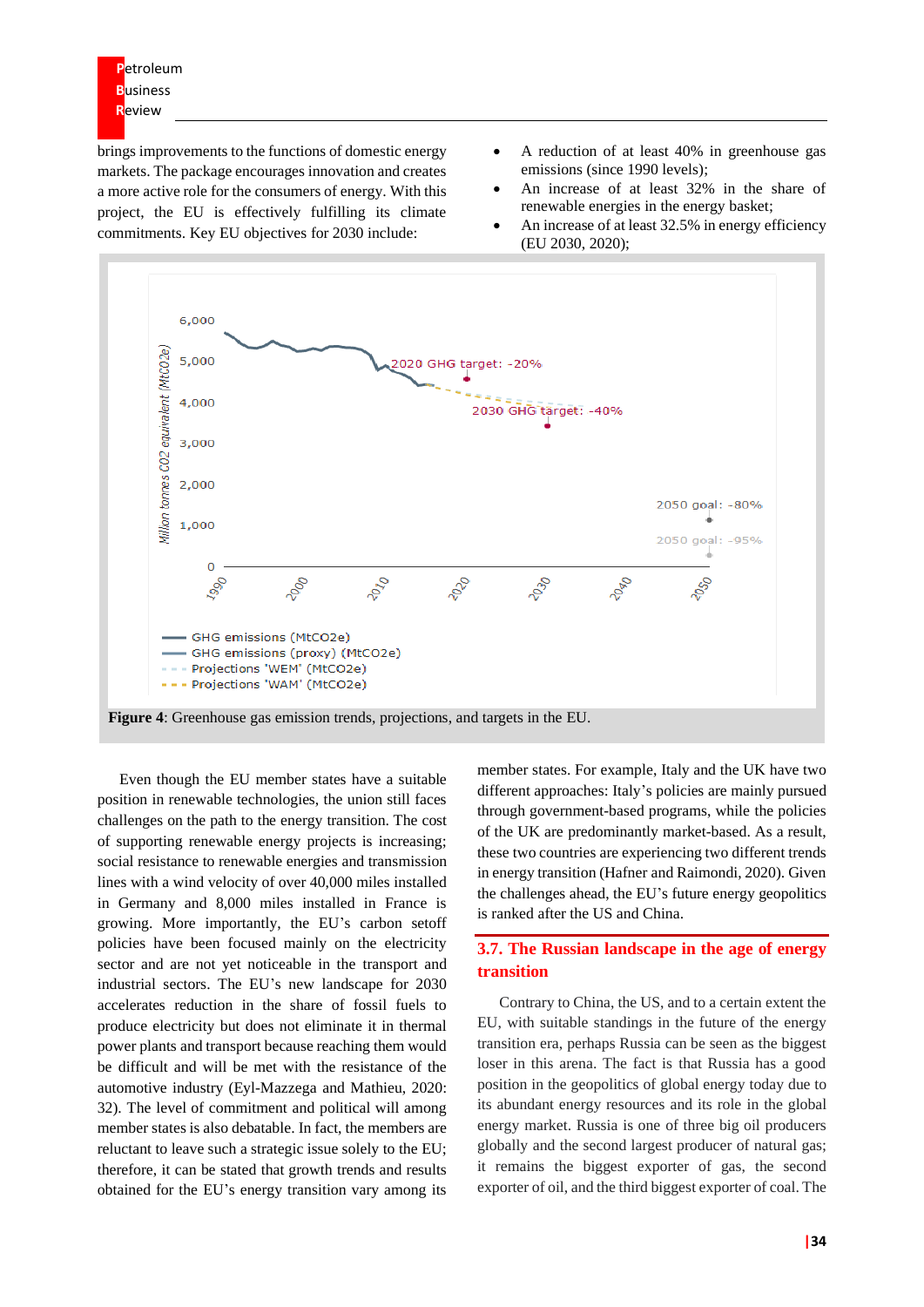brings improvements to the functions of domestic energy markets. The package encourages innovation and creates a more active role for the consumers of energy. With this project, the EU is effectively fulfilling its climate commitments. Key EU objectives for 2030 include:

- A reduction of at least 40% in greenhouse gas emissions (since 1990 levels);
- An increase of at least 32% in the share of renewable energies in the energy basket;
- An increase of at least 32.5% in energy efficiency (EU 2030, 2020);



Even though the EU member states have a suitable position in renewable technologies, the union still faces challenges on the path to the energy transition. The cost of supporting renewable energy projects is increasing; social resistance to renewable energies and transmission lines with a wind velocity of over 40,000 miles installed in Germany and 8,000 miles installed in France is growing. More importantly, the EU's carbon setoff policies have been focused mainly on the electricity sector and are not yet noticeable in the transport and industrial sectors. The EU's new landscape for 2030 accelerates reduction in the share of fossil fuels to produce electricity but does not eliminate it in thermal power plants and transport because reaching them would be difficult and will be met with the resistance of the automotive industry (Eyl-Mazzega and Mathieu, 2020: 32). The level of commitment and political will among member states is also debatable. In fact, the members are reluctant to leave such a strategic issue solely to the EU; therefore, it can be stated that growth trends and results obtained for the EU's energy transition vary among its

member states. For example, Italy and the UK have two different approaches: Italy's policies are mainly pursued through government-based programs, while the policies of the UK are predominantly market-based. As a result, these two countries are experiencing two different trends in energy transition (Hafner and Raimondi, 2020). Given the challenges ahead, the EU's future energy geopolitics is ranked after the US and China.

# **3.7. The Russian landscape in the age of energy transition**

Contrary to China, the US, and to a certain extent the EU, with suitable standings in the future of the energy transition era, perhaps Russia can be seen as the biggest loser in this arena. The fact is that Russia has a good position in the geopolitics of global energy today due to its abundant energy resources and its role in the global energy market. Russia is one of three big oil producers globally and the second largest producer of natural gas; it remains the biggest exporter of gas, the second exporter of oil, and the third biggest exporter of coal. The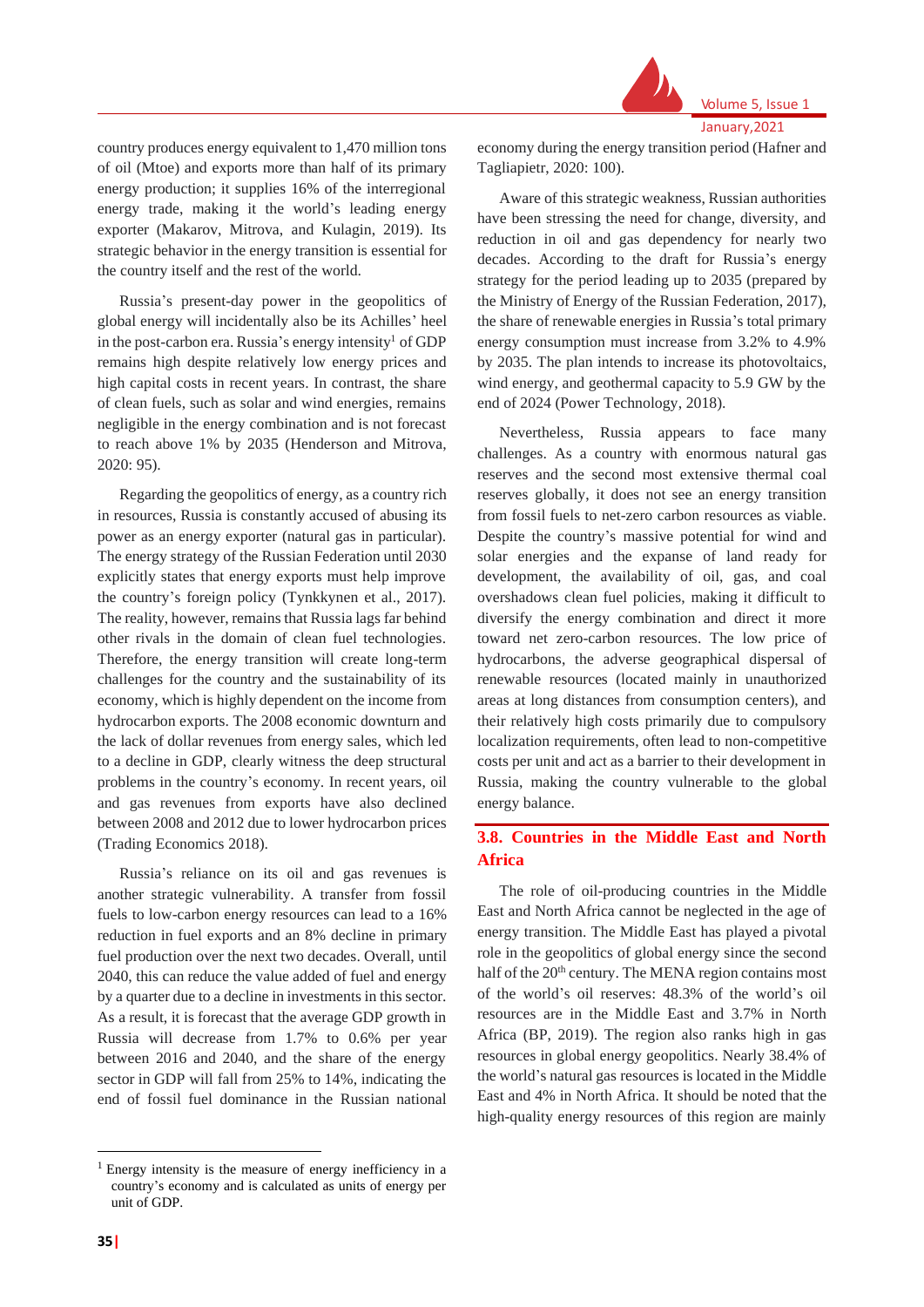

Volume 5, Issue 1 January,2021

country produces energy equivalent to 1,470 million tons of oil (Mtoe) and exports more than half of its primary energy production; it supplies 16% of the interregional energy trade, making it the world's leading energy exporter (Makarov, Mitrova, and Kulagin, 2019). Its strategic behavior in the energy transition is essential for the country itself and the rest of the world.

Russia's present-day power in the geopolitics of global energy will incidentally also be its Achilles' heel in the post-carbon era. Russia's energy intensity<sup>1</sup> of GDP remains high despite relatively low energy prices and high capital costs in recent years. In contrast, the share of clean fuels, such as solar and wind energies, remains negligible in the energy combination and is not forecast to reach above 1% by 2035 (Henderson and Mitrova, 2020: 95).

Regarding the geopolitics of energy, as a country rich in resources, Russia is constantly accused of abusing its power as an energy exporter (natural gas in particular). The energy strategy of the Russian Federation until 2030 explicitly states that energy exports must help improve the country's foreign policy (Tynkkynen et al., 2017). The reality, however, remains that Russia lags far behind other rivals in the domain of clean fuel technologies. Therefore, the energy transition will create long-term challenges for the country and the sustainability of its economy, which is highly dependent on the income from hydrocarbon exports. The 2008 economic downturn and the lack of dollar revenues from energy sales, which led to a decline in GDP, clearly witness the deep structural problems in the country's economy. In recent years, oil and gas revenues from exports have also declined between 2008 and 2012 due to lower hydrocarbon prices (Trading Economics 2018).

Russia's reliance on its oil and gas revenues is another strategic vulnerability. A transfer from fossil fuels to low-carbon energy resources can lead to a 16% reduction in fuel exports and an 8% decline in primary fuel production over the next two decades. Overall, until 2040, this can reduce the value added of fuel and energy by a quarter due to a decline in investments in this sector. As a result, it is forecast that the average GDP growth in Russia will decrease from 1.7% to 0.6% per year between 2016 and 2040, and the share of the energy sector in GDP will fall from 25% to 14%, indicating the end of fossil fuel dominance in the Russian national

economy during the energy transition period (Hafner and Tagliapietr, 2020: 100).

Aware of this strategic weakness, Russian authorities have been stressing the need for change, diversity, and reduction in oil and gas dependency for nearly two decades. According to the draft for Russia's energy strategy for the period leading up to 2035 (prepared by the Ministry of Energy of the Russian Federation, 2017), the share of renewable energies in Russia's total primary energy consumption must increase from 3.2% to 4.9% by 2035. The plan intends to increase its photovoltaics, wind energy, and geothermal capacity to 5.9 GW by the end of 2024 (Power Technology, 2018).

Nevertheless, Russia appears to face many challenges. As a country with enormous natural gas reserves and the second most extensive thermal coal reserves globally, it does not see an energy transition from fossil fuels to net-zero carbon resources as viable. Despite the country's massive potential for wind and solar energies and the expanse of land ready for development, the availability of oil, gas, and coal overshadows clean fuel policies, making it difficult to diversify the energy combination and direct it more toward net zero-carbon resources. The low price of hydrocarbons, the adverse geographical dispersal of renewable resources (located mainly in unauthorized areas at long distances from consumption centers), and their relatively high costs primarily due to compulsory localization requirements, often lead to non-competitive costs per unit and act as a barrier to their development in Russia, making the country vulnerable to the global energy balance.

# **3.8. Countries in the Middle East and North Africa**

The role of oil-producing countries in the Middle East and North Africa cannot be neglected in the age of energy transition. The Middle East has played a pivotal role in the geopolitics of global energy since the second half of the 20<sup>th</sup> century. The MENA region contains most of the world's oil reserves: 48.3% of the world's oil resources are in the Middle East and 3.7% in North Africa (BP, 2019). The region also ranks high in gas resources in global energy geopolitics. Nearly 38.4% of the world's natural gas resources is located in the Middle East and 4% in North Africa. It should be noted that the high-quality energy resources of this region are mainly

<sup>1</sup> Energy intensity is the measure of energy inefficiency in a country's economy and is calculated as units of energy per unit of GDP.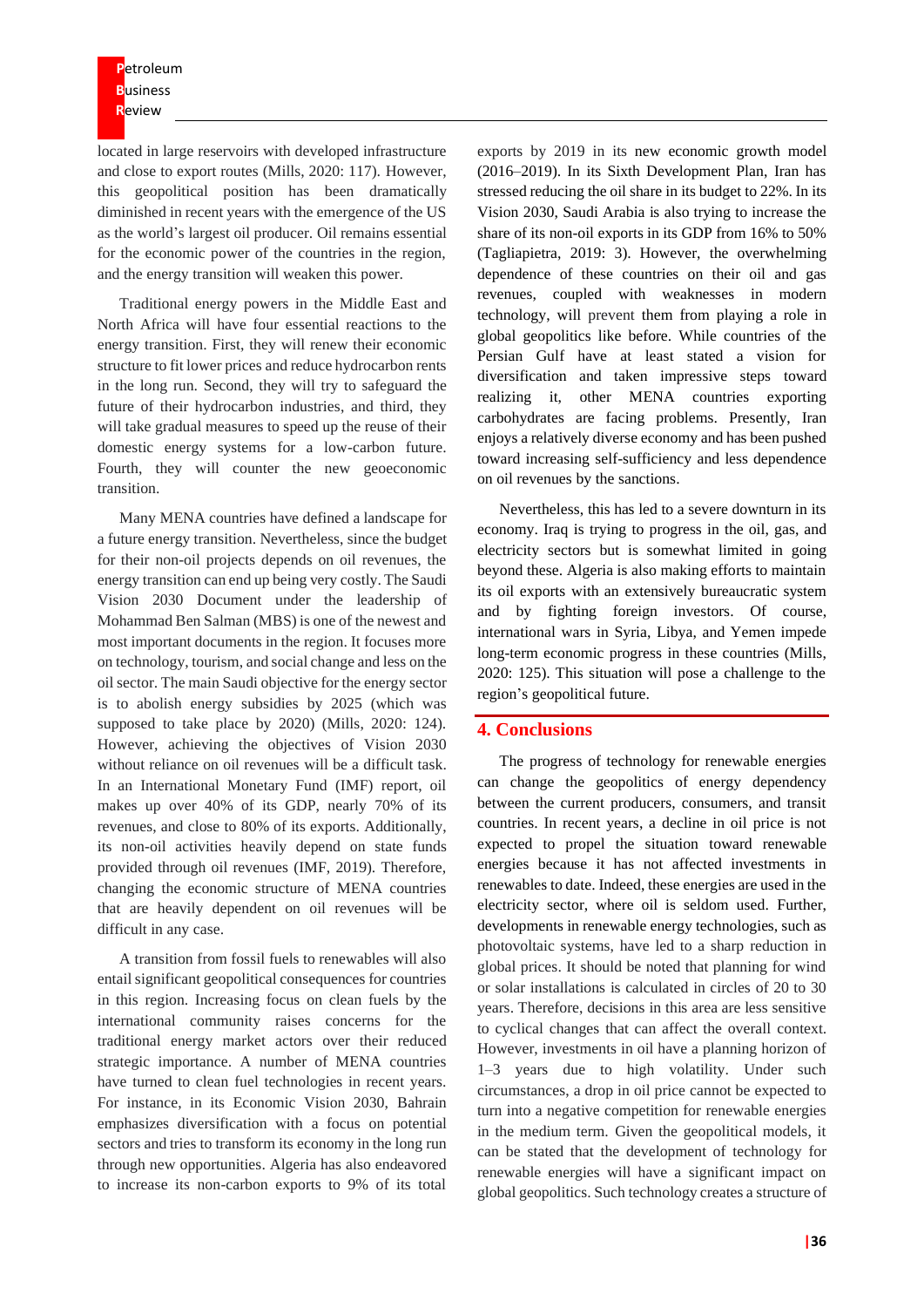located in large reservoirs with developed infrastructure and close to export routes (Mills, 2020: 117). However, this geopolitical position has been dramatically diminished in recent years with the emergence of the US as the world's largest oil producer. Oil remains essential for the economic power of the countries in the region, and the energy transition will weaken this power.

Traditional energy powers in the Middle East and North Africa will have four essential reactions to the energy transition. First, they will renew their economic structure to fit lower prices and reduce hydrocarbon rents in the long run. Second, they will try to safeguard the future of their hydrocarbon industries, and third, they will take gradual measures to speed up the reuse of their domestic energy systems for a low-carbon future. Fourth, they will counter the new geoeconomic transition.

Many MENA countries have defined a landscape for a future energy transition. Nevertheless, since the budget for their non-oil projects depends on oil revenues, the energy transition can end up being very costly. The Saudi Vision 2030 Document under the leadership of Mohammad Ben Salman (MBS) is one of the newest and most important documents in the region. It focuses more on technology, tourism, and social change and less on the oil sector. The main Saudi objective for the energy sector is to abolish energy subsidies by 2025 (which was supposed to take place by 2020) (Mills, 2020: 124). However, achieving the objectives of Vision 2030 without reliance on oil revenues will be a difficult task. In an International Monetary Fund (IMF) report, oil makes up over 40% of its GDP, nearly 70% of its revenues, and close to 80% of its exports. Additionally, its non-oil activities heavily depend on state funds provided through oil revenues (IMF, 2019). Therefore, changing the economic structure of MENA countries that are heavily dependent on oil revenues will be difficult in any case.

A transition from fossil fuels to renewables will also entail significant geopolitical consequences for countries in this region. Increasing focus on clean fuels by the international community raises concerns for the traditional energy market actors over their reduced strategic importance. A number of MENA countries have turned to clean fuel technologies in recent years. For instance, in its Economic Vision 2030, Bahrain emphasizes diversification with a focus on potential sectors and tries to transform its economy in the long run through new opportunities. Algeria has also endeavored to increase its non-carbon exports to 9% of its total

exports by 2019 in its new economic growth model (2016–2019). In its Sixth Development Plan, Iran has stressed reducing the oil share in its budget to 22%. In its Vision 2030, Saudi Arabia is also trying to increase the share of its non-oil exports in its GDP from 16% to 50% (Tagliapietra, 2019: 3). However, the overwhelming dependence of these countries on their oil and gas revenues, coupled with weaknesses in modern technology, will prevent them from playing a role in global geopolitics like before. While countries of the Persian Gulf have at least stated a vision for diversification and taken impressive steps toward realizing it, other MENA countries exporting carbohydrates are facing problems. Presently, Iran enjoys a relatively diverse economy and has been pushed toward increasing self-sufficiency and less dependence on oil revenues by the sanctions.

Nevertheless, this has led to a severe downturn in its economy. Iraq is trying to progress in the oil, gas, and electricity sectors but is somewhat limited in going beyond these. Algeria is also making efforts to maintain its oil exports with an extensively bureaucratic system and by fighting foreign investors. Of course, international wars in Syria, Libya, and Yemen impede long-term economic progress in these countries (Mills, 2020: 125). This situation will pose a challenge to the region's geopolitical future.

#### **4. Conclusions**

The progress of technology for renewable energies can change the geopolitics of energy dependency between the current producers, consumers, and transit countries. In recent years, a decline in oil price is not expected to propel the situation toward renewable energies because it has not affected investments in renewables to date. Indeed, these energies are used in the electricity sector, where oil is seldom used. Further, developments in renewable energy technologies, such as photovoltaic systems, have led to a sharp reduction in global prices. It should be noted that planning for wind or solar installations is calculated in circles of 20 to 30 years. Therefore, decisions in this area are less sensitive to cyclical changes that can affect the overall context. However, investments in oil have a planning horizon of 1–3 years due to high volatility. Under such circumstances, a drop in oil price cannot be expected to turn into a negative competition for renewable energies in the medium term. Given the geopolitical models, it can be stated that the development of technology for renewable energies will have a significant impact on global geopolitics. Such technology creates a structure of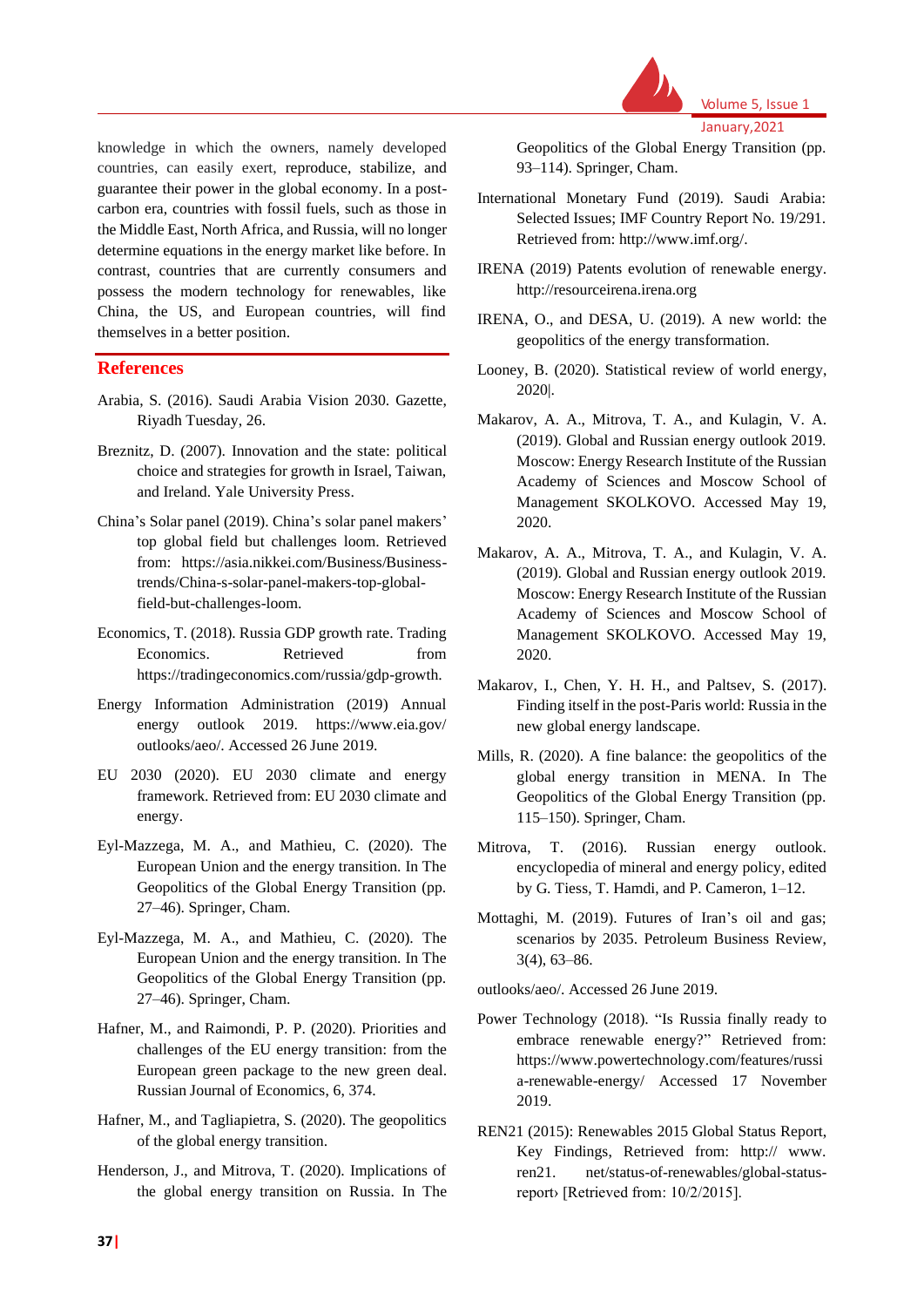

knowledge in which the owners, namely developed countries, can easily exert, reproduce, stabilize, and guarantee their power in the global economy. In a postcarbon era, countries with fossil fuels, such as those in the Middle East, North Africa, and Russia, will no longer determine equations in the energy market like before. In contrast, countries that are currently consumers and possess the modern technology for renewables, like China, the US, and European countries, will find themselves in a better position.

#### **References**

- Arabia, S. (2016). Saudi Arabia Vision 2030. Gazette, Riyadh Tuesday, 26.
- Breznitz, D. (2007). Innovation and the state: political choice and strategies for growth in Israel, Taiwan, and Ireland. Yale University Press.
- China's Solar panel (2019). China's solar panel makers' top global field but challenges loom. Retrieved from: https://asia.nikkei.com/Business/Businesstrends/China-s-solar-panel-makers-top-globalfield-but-challenges-loom.
- Economics, T. (2018). Russia GDP growth rate. Trading Economics. Retrieved from https://tradingeconomics.com/russia/gdp-growth.
- Energy Information Administration (2019) Annual energy outlook 2019. https://www.eia.gov/ outlooks/aeo/. Accessed 26 June 2019.
- EU 2030 (2020). EU 2030 climate and energy framework. Retrieved from: EU 2030 climate and energy.
- Eyl-Mazzega, M. A., and Mathieu, C. (2020). The European Union and the energy transition. In The Geopolitics of the Global Energy Transition (pp. 27–46). Springer, Cham.
- Eyl-Mazzega, M. A., and Mathieu, C. (2020). The European Union and the energy transition. In The Geopolitics of the Global Energy Transition (pp. 27–46). Springer, Cham.
- Hafner, M., and Raimondi, P. P. (2020). Priorities and challenges of the EU energy transition: from the European green package to the new green deal. Russian Journal of Economics, 6, 374.
- Hafner, M., and Tagliapietra, S. (2020). The geopolitics of the global energy transition.
- Henderson, J., and Mitrova, T. (2020). Implications of the global energy transition on Russia. In The

Geopolitics of the Global Energy Transition (pp. 93–114). Springer, Cham.

- International Monetary Fund (2019). Saudi Arabia: Selected Issues; IMF Country Report No. 19/291. Retrieved from: http://www.imf.org/.
- IRENA (2019) Patents evolution of renewable energy. http://resourceirena.irena.org
- IRENA, O., and DESA, U. (2019). A new world: the geopolitics of the energy transformation.
- Looney, B. (2020). Statistical review of world energy, 2020|.
- Makarov, A. A., Mitrova, T. A., and Kulagin, V. A. (2019). Global and Russian energy outlook 2019. Moscow: Energy Research Institute of the Russian Academy of Sciences and Moscow School of Management SKOLKOVO. Accessed May 19, 2020.
- Makarov, A. A., Mitrova, T. A., and Kulagin, V. A. (2019). Global and Russian energy outlook 2019. Moscow: Energy Research Institute of the Russian Academy of Sciences and Moscow School of Management SKOLKOVO. Accessed May 19, 2020.
- Makarov, I., Chen, Y. H. H., and Paltsev, S. (2017). Finding itself in the post-Paris world: Russia in the new global energy landscape.
- Mills, R. (2020). A fine balance: the geopolitics of the global energy transition in MENA. In The Geopolitics of the Global Energy Transition (pp. 115–150). Springer, Cham.
- Mitrova, T. (2016). Russian energy outlook. encyclopedia of mineral and energy policy, edited by G. Tiess, T. Hamdi, and P. Cameron, 1–12.
- Mottaghi, M. (2019). Futures of Iran's oil and gas; scenarios by 2035. Petroleum Business Review, 3(4), 63–86.

outlooks/aeo/. Accessed 26 June 2019.

- Power Technology (2018). "Is Russia finally ready to embrace renewable energy?" Retrieved from: https://www.powertechnology.com/features/russi a-renewable-energy/ Accessed 17 November 2019.
- REN21 (2015): Renewables 2015 Global Status Report, Key Findings, Retrieved from: http:// www. ren21. net/status-of-renewables/global-statusreport› [Retrieved from: 10/2/2015].